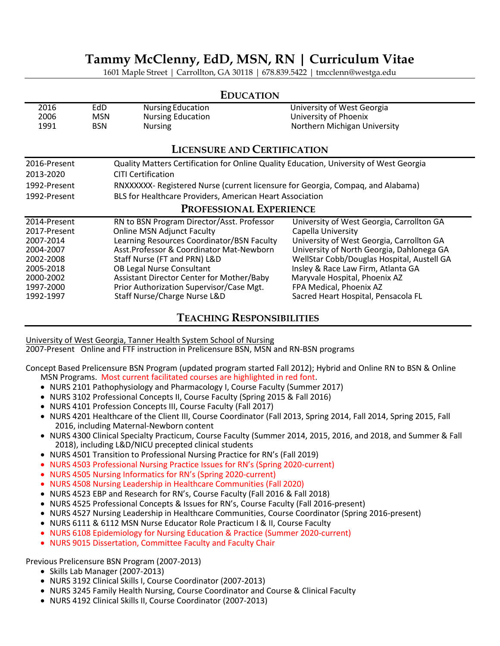# **Tammy McClenny, EdD, MSN, RN | Curriculum Vitae**

1601 Maple Street | Carrollton, GA 30118 | 678.839.5422 | tmcclenn@westga.edu

## 2016 EdD Nursing Education University of West Georgia 2006 MSN Nursing Education **Democration Contract Contract Contract Contract Contract Contract Contract Contract**<br>1991 Mursing Nursing Nursing Northern Michigan U **Nursing Northern Michigan University LICENSURE AND CERTIFICATION** 2016-Present Quality Matters Certification for Online Quality Education, University of West Georgia 2013-2020 CITI Certification 1992-Present RNXXXXXX- Registered Nurse (current licensure for Georgia, Compaq, and Alabama) 1992-Present BLS for Healthcare Providers, American Heart Association **PROFESSIONAL EXPERIENCE** 2014-Present RN to BSN Program Director/Asst. Professor University of West Georgia, Carrollton GA 2017-Present Conline MSN Adjunct Faculty Capella University<br>2007-2014 Learning Resources Coordinator/BSN Faculty University of West Georgia, Carrollton GA 2007-2014 Learning Resources Coordinator/BSN Faculty 2004-2007 Asst.Professor & Coordinator Mat-Newborn University of North Georgia, Dahlonega GA 2002-2008 Staff Nurse (FT and PRN) L&D WellStar Cobb/Douglas Hospital, Austell GA 2005-2018 OB Legal Nurse Consultant Insley & Race Law Firm, Atlanta GA 2000-2002 Assistant Director Center for Mother/Baby Maryvale Hospital, Phoenix AZ<br>1997-2000 Prior Authorization Supervisor/Case Mgt. FPA Medical, Phoenix AZ 1997-2000 Prior Authorization Supervisor/Case Mgt.<br>1992-1997 Staff Nurse/Charge Nurse L&D Sacred Heart Hospital, Pensacola FL

### **EDUCATION**

**TEACHING RESPONSIBILITIES**

University of West Georgia, Tanner Health System School of Nursing

2007-Present Online and FTF instruction in Prelicensure BSN, MSN and RN-BSN programs

Concept Based Prelicensure BSN Program (updated program started Fall 2012); Hybrid and Online RN to BSN & Online MSN Programs. Most current facilitated courses are highlighted in red font.

- NURS 2101 Pathophysiology and Pharmacology I, Course Faculty (Summer 2017)
- NURS 3102 Professional Concepts II, Course Faculty (Spring 2015 & Fall 2016)
- NURS 4101 Profession Concepts III, Course Faculty (Fall 2017)
- NURS 4201 Healthcare of the Client III, Course Coordinator (Fall 2013, Spring 2014, Fall 2014, Spring 2015, Fall 2016, including Maternal-Newborn content
- NURS 4300 Clinical Specialty Practicum, Course Faculty (Summer 2014, 2015, 2016, and 2018, and Summer & Fall 2018), including L&D/NICU precepted clinical students
- NURS 4501 Transition to Professional Nursing Practice for RN's (Fall 2019)
- NURS 4503 Professional Nursing Practice Issues for RN's (Spring 2020-current)
- NURS 4505 Nursing Informatics for RN's (Spring 2020-current)
- NURS 4508 Nursing Leadership in Healthcare Communities (Fall 2020)
- NURS 4523 EBP and Research for RN's, Course Faculty (Fall 2016 & Fall 2018)
- NURS 4525 Professional Concepts & Issues for RN's, Course Faculty (Fall 2016-present)
- NURS 4527 Nursing Leadership in Healthcare Communities, Course Coordinator (Spring 2016-present)
- NURS 6111 & 6112 MSN Nurse Educator Role Practicum I & II, Course Faculty
- NURS 6108 Epidemiology for Nursing Education & Practice (Summer 2020-current)
- NURS 9015 Dissertation, Committee Faculty and Faculty Chair

Previous Prelicensure BSN Program (2007-2013)

- Skills Lab Manager (2007-2013)
- NURS 3192 Clinical Skills I, Course Coordinator (2007-2013)
- NURS 3245 Family Health Nursing, Course Coordinator and Course & Clinical Faculty
- NURS 4192 Clinical Skills II, Course Coordinator (2007-2013)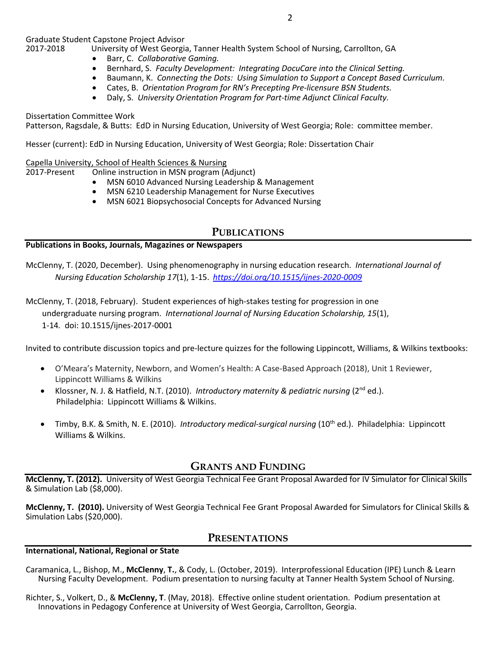Graduate Student Capstone Project Advisor

University of West Georgia, Tanner Health System School of Nursing, Carrollton, GA

- Barr, C. *Collaborative Gaming.*
- Bernhard, S. *Faculty Development: Integrating DocuCare into the Clinical Setting.*
- Baumann, K. *Connecting the Dots: Using Simulation to Support a Concept Based Curriculum.*
- Cates, B. *Orientation Program for RN's Precepting Pre-licensure BSN Students.*
- Daly, S. *University Orientation Program for Part-time Adjunct Clinical Faculty.*

#### Dissertation Committee Work

Patterson, Ragsdale, & Butts: EdD in Nursing Education, University of West Georgia; Role: committee member.

Hesser (current): EdD in Nursing Education, University of West Georgia; Role: Dissertation Chair

#### Capella University, School of Health Sciences & Nursing

- 2017-Present Online instruction in MSN program (Adjunct)
	- MSN 6010 Advanced Nursing Leadership & Management
	- MSN 6210 Leadership Management for Nurse Executives
	- MSN 6021 Biopsychosocial Concepts for Advanced Nursing

## **PUBLICATIONS**

#### **Publications in Books, Journals, Magazines or Newspapers**

McClenny, T. (2020, December). Using phenomenography in nursing education research. *International Journal of Nursing Education Scholarship 17*(1), 1-15. *<https://doi.org/10.1515/ijnes-2020-0009>*

McClenny, T. (2018, February). Student experiences of high-stakes testing for progression in one undergraduate nursing program. *International Journal of Nursing Education Scholarship, 15*(1), 1-14*.* doi: 10.1515/ijnes-2017-0001

Invited to contribute discussion topics and pre-lecture quizzes for the following Lippincott, Williams, & Wilkins textbooks:

- O'Meara's Maternity, Newborn, and Women's Health: A Case-Based Approach (2018), Unit 1 Reviewer, Lippincott Williams & Wilkins
- Klossner, N. J. & Hatfield, N.T. (2010). *Introductory maternity & pediatric nursing* (2nd ed.). Philadelphia: Lippincott Williams & Wilkins.
- Timby, B.K. & Smith, N. E. (2010). *Introductory medical-surgical nursing* (10th ed.). Philadelphia: Lippincott Williams & Wilkins.

## **GRANTS AND FUNDING**

**McClenny, T. (2012).** University of West Georgia Technical Fee Grant Proposal Awarded for IV Simulator for Clinical Skills & Simulation Lab (\$8,000).

**McClenny, T. (2010).** University of West Georgia Technical Fee Grant Proposal Awarded for Simulators for Clinical Skills & Simulation Labs (\$20,000).

## **PRESENTATIONS**

#### **International, National, Regional or State**

- Caramanica, L., Bishop, M., **McClenny**, **T.**, & Cody, L. (October, 2019). Interprofessional Education (IPE) Lunch & Learn Nursing Faculty Development. Podium presentation to nursing faculty at Tanner Health System School of Nursing.
- Richter, S., Volkert, D., & **McClenny, T**. (May, 2018). Effective online student orientation. Podium presentation at Innovations in Pedagogy Conference at University of West Georgia, Carrollton, Georgia.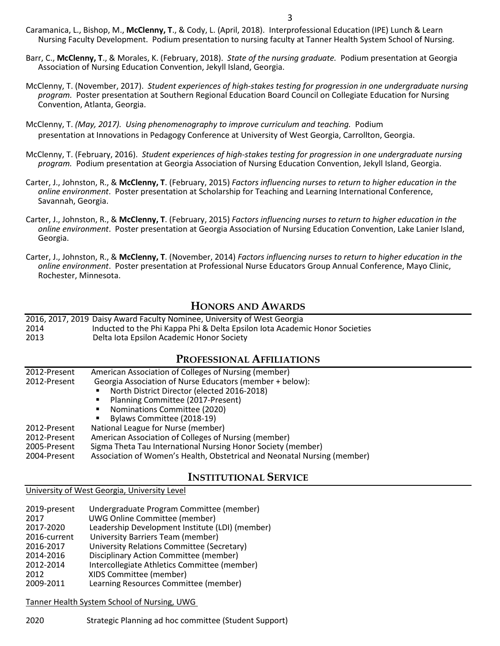- Caramanica, L., Bishop, M., **McClenny, T**., & Cody, L. (April, 2018). Interprofessional Education (IPE) Lunch & Learn Nursing Faculty Development. Podium presentation to nursing faculty at Tanner Health System School of Nursing.
- Barr, C., **McClenny, T**., & Morales, K. (February, 2018). *State of the nursing graduate.* Podium presentation at Georgia Association of Nursing Education Convention, Jekyll Island, Georgia.
- McClenny, T. (November, 2017). *Student experiences of high-stakes testing for progression in one undergraduate nursing program.* Poster presentation at Southern Regional Education Board Council on Collegiate Education for Nursing Convention, Atlanta, Georgia.
- McClenny, T. *(May, 2017). Using phenomenography to improve curriculum and teaching.* Podium presentation at Innovations in Pedagogy Conference at University of West Georgia, Carrollton, Georgia.
- McClenny, T. (February, 2016). *Student experiences of high-stakes testing for progression in one undergraduate nursing program.* Podium presentation at Georgia Association of Nursing Education Convention, Jekyll Island, Georgia.
- Carter, J., Johnston, R., & **McClenny, T**. (February, 2015) *Factors influencing nurses to return to higher education in the online environment*. Poster presentation at Scholarship for Teaching and Learning International Conference, Savannah, Georgia.
- Carter, J., Johnston, R., & **McClenny, T**. (February, 2015) *Factors influencing nurses to return to higher education in the online environment*. Poster presentation at Georgia Association of Nursing Education Convention, Lake Lanier Island, Georgia.
- Carter, J., Johnston, R., & **McClenny, T**. (November, 2014) *Factors influencing nurses to return to higher education in the online environment*. Poster presentation at Professional Nurse Educators Group Annual Conference, Mayo Clinic, Rochester, Minnesota.

## **HONORS AND AWARDS**

|      | 2016, 2017, 2019 Daisy Award Faculty Nominee, University of West Georgia    |
|------|-----------------------------------------------------------------------------|
| 2014 | Inducted to the Phi Kappa Phi & Delta Epsilon lota Academic Honor Societies |
| 2013 | Delta lota Epsilon Academic Honor Society                                   |

### **PROFESSIONAL AFFILIATIONS**

| 2012-Present | American Association of Colleges of Nursing (member)                     |  |
|--------------|--------------------------------------------------------------------------|--|
| 2012-Present | Georgia Association of Nurse Educators (member + below):                 |  |
|              | North District Director (elected 2016-2018)                              |  |
|              | Planning Committee (2017-Present)<br>٠                                   |  |
|              | Nominations Committee (2020)                                             |  |
|              | Bylaws Committee (2018-19)                                               |  |
| 2012-Present | National League for Nurse (member)                                       |  |
| 2012-Present | American Association of Colleges of Nursing (member)                     |  |
| 2005-Present | Sigma Theta Tau International Nursing Honor Society (member)             |  |
| 2004-Present | Association of Women's Health, Obstetrical and Neonatal Nursing (member) |  |

## **INSTITUTIONAL SERVICE**

#### University of West Georgia, University Level

| 2019-present<br>2017<br>2017-2020 | Undergraduate Program Committee (member)<br><b>UWG Online Committee (member)</b><br>Leadership Development Institute (LDI) (member) |
|-----------------------------------|-------------------------------------------------------------------------------------------------------------------------------------|
| 2016-current                      | University Barriers Team (member)                                                                                                   |
| 2016-2017                         | University Relations Committee (Secretary)                                                                                          |
| 2014-2016                         | Disciplinary Action Committee (member)                                                                                              |
| 2012-2014                         | Intercollegiate Athletics Committee (member)                                                                                        |
| 2012                              | XIDS Committee (member)                                                                                                             |
| 2009-2011                         | Learning Resources Committee (member)                                                                                               |

#### Tanner Health System School of Nursing, UWG

2020 Strategic Planning ad hoc committee (Student Support)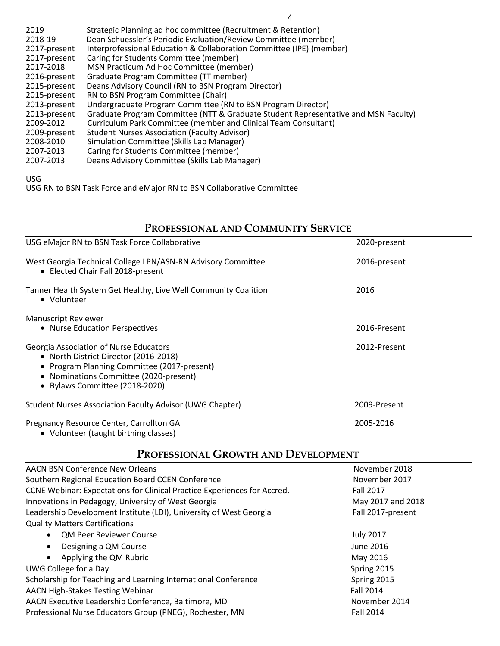| 2019         | Strategic Planning ad hoc committee (Recruitment & Retention)                      |
|--------------|------------------------------------------------------------------------------------|
| 2018-19      | Dean Schuessler's Periodic Evaluation/Review Committee (member)                    |
| 2017-present | Interprofessional Education & Collaboration Committee (IPE) (member)               |
| 2017-present | Caring for Students Committee (member)                                             |
| 2017-2018    | MSN Practicum Ad Hoc Committee (member)                                            |
| 2016-present | Graduate Program Committee (TT member)                                             |
| 2015-present | Deans Advisory Council (RN to BSN Program Director)                                |
| 2015-present | RN to BSN Program Committee (Chair)                                                |
| 2013-present | Undergraduate Program Committee (RN to BSN Program Director)                       |
| 2013-present | Graduate Program Committee (NTT & Graduate Student Representative and MSN Faculty) |
| 2009-2012    | Curriculum Park Committee (member and Clinical Team Consultant)                    |
| 2009-present | <b>Student Nurses Association (Faculty Advisor)</b>                                |
| 2008-2010    | Simulation Committee (Skills Lab Manager)                                          |
| 2007-2013    | Caring for Students Committee (member)                                             |
| 2007-2013    | Deans Advisory Committee (Skills Lab Manager)                                      |
|              |                                                                                    |

USG

USG RN to BSN Task Force and eMajor RN to BSN Collaborative Committee

# **PROFESSIONAL AND COMMUNITY SERVICE**

| 2020-present |
|--------------|
| 2016-present |
| 2016         |
|              |
| 2016-Present |
| 2012-Present |
| 2009-Present |
| 2005-2016    |
|              |

**PROFESSIONAL GROWTH AND DEVELOPMENT**

| <b>AACN BSN Conference New Orleans</b>                                   | November 2018     |
|--------------------------------------------------------------------------|-------------------|
| Southern Regional Education Board CCEN Conference                        | November 2017     |
| CCNE Webinar: Expectations for Clinical Practice Experiences for Accred. | Fall 2017         |
| Innovations in Pedagogy, University of West Georgia                      | May 2017 and 2018 |
| Leadership Development Institute (LDI), University of West Georgia       | Fall 2017-present |
| <b>Quality Matters Certifications</b>                                    |                   |
| <b>QM Peer Reviewer Course</b><br>$\bullet$                              | <b>July 2017</b>  |
| Designing a QM Course<br>$\bullet$                                       | June 2016         |
| Applying the QM Rubric<br>$\bullet$                                      | May 2016          |
| UWG College for a Day                                                    | Spring 2015       |
| Scholarship for Teaching and Learning International Conference           | Spring 2015       |
| <b>AACN High-Stakes Testing Webinar</b>                                  | Fall 2014         |
| AACN Executive Leadership Conference, Baltimore, MD                      | November 2014     |
| Professional Nurse Educators Group (PNEG), Rochester, MN                 | Fall 2014         |